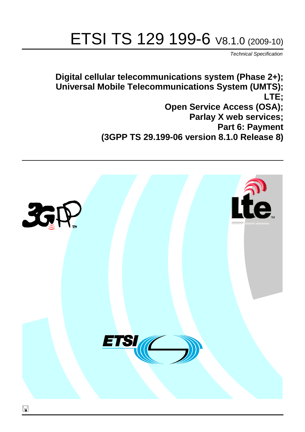# ETSI TS 129 199-6 V8.1.0 (2009-10)

*Technical Specification*

**Digital cellular telecommunications system (Phase 2+); Universal Mobile Telecommunications System (UMTS); LTE; Open Service Access (OSA); Parlay X web services; Part 6: Payment (3GPP TS 29.199-06 version 8.1.0 Release 8)**

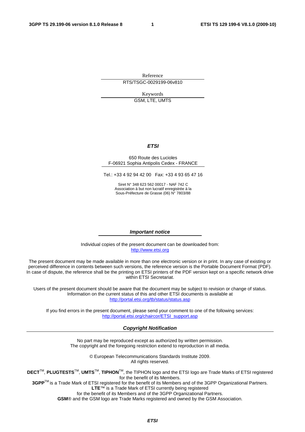Reference RTS/TSGC-0029199-06v810

> Keywords GSM, LTE, UMTS

### *ETSI*

#### 650 Route des Lucioles F-06921 Sophia Antipolis Cedex - FRANCE

Tel.: +33 4 92 94 42 00 Fax: +33 4 93 65 47 16

Siret N° 348 623 562 00017 - NAF 742 C Association à but non lucratif enregistrée à la Sous-Préfecture de Grasse (06) N° 7803/88

#### *Important notice*

Individual copies of the present document can be downloaded from: [http://www.etsi.org](http://www.etsi.org/)

The present document may be made available in more than one electronic version or in print. In any case of existing or perceived difference in contents between such versions, the reference version is the Portable Document Format (PDF). In case of dispute, the reference shall be the printing on ETSI printers of the PDF version kept on a specific network drive within ETSI Secretariat.

Users of the present document should be aware that the document may be subject to revision or change of status. Information on the current status of this and other ETSI documents is available at <http://portal.etsi.org/tb/status/status.asp>

If you find errors in the present document, please send your comment to one of the following services: [http://portal.etsi.org/chaircor/ETSI\\_support.asp](http://portal.etsi.org/chaircor/ETSI_support.asp)

#### *Copyright Notification*

No part may be reproduced except as authorized by written permission. The copyright and the foregoing restriction extend to reproduction in all media.

> © European Telecommunications Standards Institute 2009. All rights reserved.

**DECT**TM, **PLUGTESTS**TM, **UMTS**TM, **TIPHON**TM, the TIPHON logo and the ETSI logo are Trade Marks of ETSI registered for the benefit of its Members.

**3GPP**TM is a Trade Mark of ETSI registered for the benefit of its Members and of the 3GPP Organizational Partners. **LTE**™ is a Trade Mark of ETSI currently being registered

for the benefit of its Members and of the 3GPP Organizational Partners.

**GSM**® and the GSM logo are Trade Marks registered and owned by the GSM Association.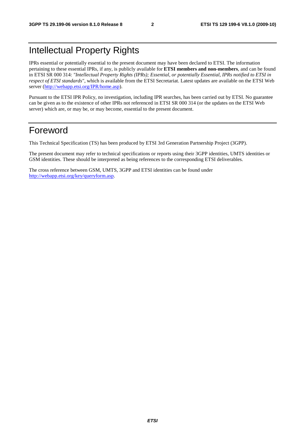## Intellectual Property Rights

IPRs essential or potentially essential to the present document may have been declared to ETSI. The information pertaining to these essential IPRs, if any, is publicly available for **ETSI members and non-members**, and can be found in ETSI SR 000 314: *"Intellectual Property Rights (IPRs); Essential, or potentially Essential, IPRs notified to ETSI in respect of ETSI standards"*, which is available from the ETSI Secretariat. Latest updates are available on the ETSI Web server [\(http://webapp.etsi.org/IPR/home.asp](http://webapp.etsi.org/IPR/home.asp)).

Pursuant to the ETSI IPR Policy, no investigation, including IPR searches, has been carried out by ETSI. No guarantee can be given as to the existence of other IPRs not referenced in ETSI SR 000 314 (or the updates on the ETSI Web server) which are, or may be, or may become, essential to the present document.

## Foreword

This Technical Specification (TS) has been produced by ETSI 3rd Generation Partnership Project (3GPP).

The present document may refer to technical specifications or reports using their 3GPP identities, UMTS identities or GSM identities. These should be interpreted as being references to the corresponding ETSI deliverables.

The cross reference between GSM, UMTS, 3GPP and ETSI identities can be found under [http://webapp.etsi.org/key/queryform.asp.](http://webapp.etsi.org/key/queryform.asp)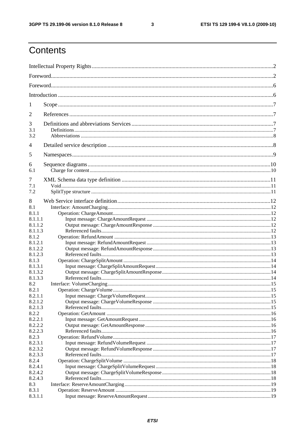$\mathbf{3}$ 

## Contents

| 1          |  |  |  |  |
|------------|--|--|--|--|
| 2          |  |  |  |  |
| 3          |  |  |  |  |
| 3.1<br>3.2 |  |  |  |  |
| 4          |  |  |  |  |
| 5          |  |  |  |  |
| 6          |  |  |  |  |
| 6.1        |  |  |  |  |
| 7          |  |  |  |  |
| 7.1<br>7.2 |  |  |  |  |
| 8          |  |  |  |  |
| 8.1        |  |  |  |  |
| 8.1.1      |  |  |  |  |
| 8.1.1.1    |  |  |  |  |
| 8.1.1.2    |  |  |  |  |
| 8.1.1.3    |  |  |  |  |
| 8.1.2      |  |  |  |  |
| 8.1.2.1    |  |  |  |  |
| 8.1.2.2    |  |  |  |  |
| 8.1.2.3    |  |  |  |  |
| 8.1.3      |  |  |  |  |
| 8.1.3.1    |  |  |  |  |
| 8.1.3.2    |  |  |  |  |
| 8.1.3.3    |  |  |  |  |
| 8.2        |  |  |  |  |
| 8.2.1      |  |  |  |  |
| 8.2.1.1    |  |  |  |  |
| 8.2.1.2    |  |  |  |  |
| 8.2.1.3    |  |  |  |  |
| 8.2.2      |  |  |  |  |
| 8.2.2.1    |  |  |  |  |
| 8.2.2.2    |  |  |  |  |
| 8.2.2.3    |  |  |  |  |
| 8.2.3      |  |  |  |  |
| 8.2.3.1    |  |  |  |  |
| 8.2.3.2    |  |  |  |  |
| 8.2.3.3    |  |  |  |  |
| 8.2.4      |  |  |  |  |
| 8.2.4.1    |  |  |  |  |
| 8.2.4.2    |  |  |  |  |
| 8.2.4.3    |  |  |  |  |
| 8.3        |  |  |  |  |
|            |  |  |  |  |
| 8.3.1      |  |  |  |  |
| 8.3.1.1    |  |  |  |  |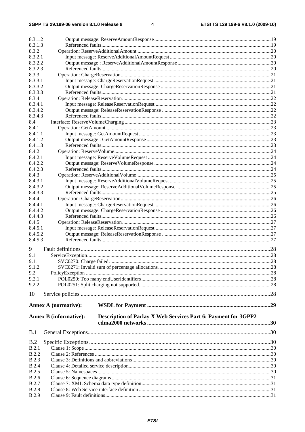| 8.3.1.2            |                                                                                                 |  |  |  |  |
|--------------------|-------------------------------------------------------------------------------------------------|--|--|--|--|
| 8.3.1.3            |                                                                                                 |  |  |  |  |
| 8.3.2              |                                                                                                 |  |  |  |  |
| 8.3.2.1            |                                                                                                 |  |  |  |  |
| 8.3.2.2            |                                                                                                 |  |  |  |  |
| 8.3.2.3            |                                                                                                 |  |  |  |  |
| 8.3.3              |                                                                                                 |  |  |  |  |
| 8.3.3.1<br>8.3.3.2 |                                                                                                 |  |  |  |  |
| 8.3.3.3            |                                                                                                 |  |  |  |  |
| 8.3.4              |                                                                                                 |  |  |  |  |
| 8.3.4.1            |                                                                                                 |  |  |  |  |
| 8.3.4.2            |                                                                                                 |  |  |  |  |
| 8.3.4.3            |                                                                                                 |  |  |  |  |
| 8.4                |                                                                                                 |  |  |  |  |
| 8.4.1              |                                                                                                 |  |  |  |  |
| 8.4.1.1            |                                                                                                 |  |  |  |  |
| 8.4.1.2            |                                                                                                 |  |  |  |  |
| 8.4.1.3            |                                                                                                 |  |  |  |  |
| 8.4.2              |                                                                                                 |  |  |  |  |
| 8.4.2.1            |                                                                                                 |  |  |  |  |
| 8.4.2.2            |                                                                                                 |  |  |  |  |
| 8.4.2.3            |                                                                                                 |  |  |  |  |
| 8.4.3              |                                                                                                 |  |  |  |  |
| 8.4.3.1            |                                                                                                 |  |  |  |  |
| 8.4.3.2            |                                                                                                 |  |  |  |  |
| 8.4.3.3            |                                                                                                 |  |  |  |  |
| 8.4.4              |                                                                                                 |  |  |  |  |
| 8.4.4.1            |                                                                                                 |  |  |  |  |
| 8.4.4.2            |                                                                                                 |  |  |  |  |
| 8.4.4.3            |                                                                                                 |  |  |  |  |
| 8.4.5              |                                                                                                 |  |  |  |  |
| 8.4.5.1            |                                                                                                 |  |  |  |  |
| 8.4.5.2            |                                                                                                 |  |  |  |  |
| 8.4.5.3            |                                                                                                 |  |  |  |  |
| 9                  |                                                                                                 |  |  |  |  |
| 9.1                |                                                                                                 |  |  |  |  |
| 9.1.1              |                                                                                                 |  |  |  |  |
| 9.1.2              |                                                                                                 |  |  |  |  |
| 9.2                |                                                                                                 |  |  |  |  |
| 9.2.1              |                                                                                                 |  |  |  |  |
| 9.2.2              |                                                                                                 |  |  |  |  |
|                    |                                                                                                 |  |  |  |  |
| 10                 |                                                                                                 |  |  |  |  |
|                    | <b>Annex A (normative):</b>                                                                     |  |  |  |  |
|                    |                                                                                                 |  |  |  |  |
|                    | Description of Parlay X Web Services Part 6: Payment for 3GPP2<br><b>Annex B</b> (informative): |  |  |  |  |
|                    |                                                                                                 |  |  |  |  |
|                    |                                                                                                 |  |  |  |  |
| B.1                |                                                                                                 |  |  |  |  |
| B.2                |                                                                                                 |  |  |  |  |
| B.2.1              |                                                                                                 |  |  |  |  |
| <b>B.2.2</b>       |                                                                                                 |  |  |  |  |
| <b>B.2.3</b>       |                                                                                                 |  |  |  |  |
| <b>B.2.4</b>       |                                                                                                 |  |  |  |  |
| <b>B.2.5</b>       |                                                                                                 |  |  |  |  |
| <b>B.2.6</b>       |                                                                                                 |  |  |  |  |
| <b>B.2.7</b>       |                                                                                                 |  |  |  |  |
| <b>B.2.8</b>       |                                                                                                 |  |  |  |  |
| <b>B.2.9</b>       |                                                                                                 |  |  |  |  |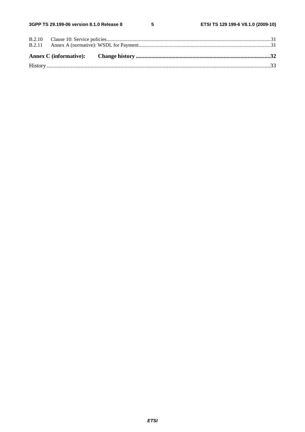$5\phantom{a}$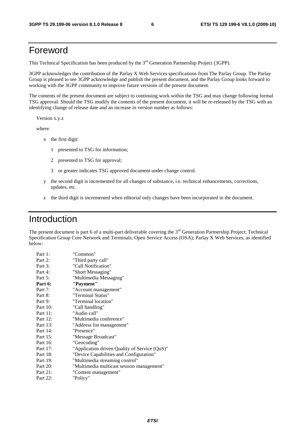## Foreword

This Technical Specification has been produced by the 3<sup>rd</sup> Generation Partnership Project (3GPP).

3GPP acknowledges the contribution of the Parlay X Web Services specifications from The Parlay Group. The Parlay Group is pleased to see 3GPP acknowledge and publish the present document, and the Parlay Group looks forward to working with the 3GPP community to improve future versions of the present document.

The contents of the present document are subject to continuing work within the TSG and may change following formal TSG approval. Should the TSG modify the contents of the present document, it will be re-released by the TSG with an identifying change of release date and an increase in version number as follows:

Version x.y.z

where:

- x the first digit:
	- 1 presented to TSG for information;
	- 2 presented to TSG for approval;
	- 3 or greater indicates TSG approved document under change control.
- y the second digit is incremented for all changes of substance, i.e. technical enhancements, corrections, updates, etc.
- z the third digit is incremented when editorial only changes have been incorporated in the document.

## Introduction

The present document is part 6 of a multi-part deliverable covering the  $3<sup>rd</sup>$  Generation Partnership Project; Technical Specification Group Core Network and Terminals; Open Service Access (OSA); Parlay X Web Services, as identified below:

| "Common"                                      |
|-----------------------------------------------|
| "Third party call"                            |
| "Call Notification"                           |
| "Short Messaging"                             |
| "Multimedia Messaging"                        |
| "Payment"                                     |
| "Account management"                          |
| "Terminal Status"                             |
| "Terminal location"                           |
| "Call handling"                               |
| "Audio call"                                  |
| "Multimedia conference"                       |
| "Address list management"                     |
| "Presence"                                    |
| "Message Broadcast"                           |
| "Geocoding"                                   |
| "Application driven Quality of Service (QoS)" |
| "Device Capabilities and Configuration"       |
| "Multimedia streaming control"                |
| "Multimedia multicast session management"     |
| "Content management"                          |
| "Policy"                                      |
|                                               |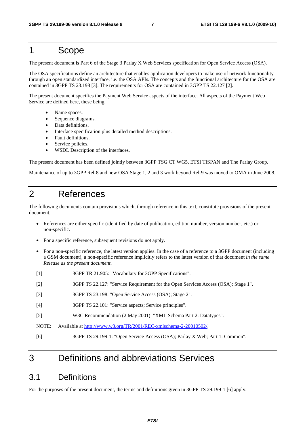## 1 Scope

The present document is Part 6 of the Stage 3 Parlay X Web Services specification for Open Service Access (OSA).

The OSA specifications define an architecture that enables application developers to make use of network functionality through an open standardized interface, i.e. the OSA APIs. The concepts and the functional architecture for the OSA are contained in 3GPP TS 23.198 [3]. The requirements for OSA are contained in 3GPP TS 22.127 [2].

The present document specifies the Payment Web Service aspects of the interface. All aspects of the Payment Web Service are defined here, these being:

- Name spaces.
- Sequence diagrams.
- Data definitions.
- Interface specification plus detailed method descriptions.
- Fault definitions.
- Service policies.
- WSDL Description of the interfaces.

The present document has been defined jointly between 3GPP TSG CT WG5, ETSI TISPAN and The Parlay Group.

Maintenance of up to 3GPP Rel-8 and new OSA Stage 1, 2 and 3 work beyond Rel-9 was moved to OMA in June 2008.

## 2 References

The following documents contain provisions which, through reference in this text, constitute provisions of the present document.

- References are either specific (identified by date of publication, edition number, version number, etc.) or non-specific.
- For a specific reference, subsequent revisions do not apply.
- For a non-specific reference, the latest version applies. In the case of a reference to a 3GPP document (including a GSM document), a non-specific reference implicitly refers to the latest version of that document *in the same Release as the present document*.
- [1] 3GPP TR 21.905: "Vocabulary for 3GPP Specifications".
- [2] 3GPP TS 22.127: "Service Requirement for the Open Services Access (OSA); Stage 1".
- [3] 3GPP TS 23.198: "Open Service Access (OSA); Stage 2".
- [4] 3GPP TS 22.101: "Service aspects; Service principles".
- [5] W3C Recommendation (2 May 2001): "XML Schema Part 2: Datatypes".
- NOTE: Available at<http://www.w3.org/TR/2001/REC-xmlschema-2-20010502/>.
- [6] 3GPP TS 29.199-1: "Open Service Access (OSA); Parlay X Web; Part 1: Common".

## 3 Definitions and abbreviations Services

### 3.1 Definitions

For the purposes of the present document, the terms and definitions given in 3GPP TS 29.199-1 [6] apply.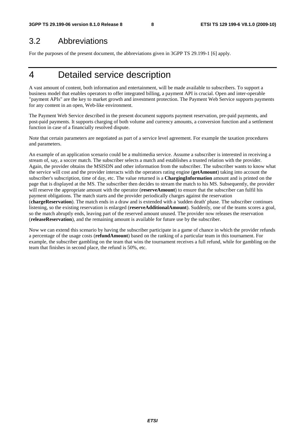## 3.2 Abbreviations

For the purposes of the present document, the abbreviations given in 3GPP TS 29.199-1 [6] apply.

## 4 Detailed service description

A vast amount of content, both information and entertainment, will be made available to subscribers. To support a business model that enables operators to offer integrated billing, a payment API is crucial. Open and inter-operable "payment APIs" are the key to market growth and investment protection. The Payment Web Service supports payments for any content in an open, Web-like environment.

The Payment Web Service described in the present document supports payment reservation, pre-paid payments, and post-paid payments. It supports charging of both volume and currency amounts, a conversion function and a settlement function in case of a financially resolved dispute.

Note that certain parameters are negotiated as part of a service level agreement. For example the taxation procedures and parameters.

An example of an application scenario could be a multimedia service. Assume a subscriber is interested in receiving a stream of, say, a soccer match. The subscriber selects a match and establishes a trusted relation with the provider. Again, the provider obtains the MSISDN and other information from the subscriber. The subscriber wants to know what the service will cost and the provider interacts with the operators rating engine (**getAmount**) taking into account the subscriber's subscription, time of day, etc. The value returned is a **ChargingInformation** amount and is printed on the page that is displayed at the MS. The subscriber then decides to stream the match to his MS. Subsequently, the provider will reserve the appropriate amount with the operator (**reserveAmount**) to ensure that the subscriber can fulfil his payment obligations. The match starts and the provider periodically charges against the reservation (**chargeReservation**). The match ends in a draw and is extended with a 'sudden death' phase. The subscriber continues listening, so the existing reservation is enlarged (**reserveAdditionalAmount**). Suddenly, one of the teams scores a goal, so the match abruptly ends, leaving part of the reserved amount unused. The provider now releases the reservation (**releaseReservation**), and the remaining amount is available for future use by the subscriber.

Now we can extend this scenario by having the subscriber participate in a game of chance in which the provider refunds a percentage of the usage costs (**refundAmount**) based on the ranking of a particular team in this tournament. For example, the subscriber gambling on the team that wins the tournament receives a full refund, while for gambling on the team that finishes in second place, the refund is 50%, etc.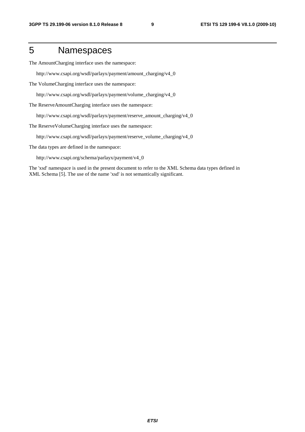## 5 Namespaces

The AmountCharging interface uses the namespace:

http://www.csapi.org/wsdl/parlayx/payment/amount\_charging/v4\_0

The VolumeCharging interface uses the namespace:

http://www.csapi.org/wsdl/parlayx/payment/volume\_charging/v4\_0

The ReserveAmountCharging interface uses the namespace:

http://www.csapi.org/wsdl/parlayx/payment/reserve\_amount\_charging/v4\_0

The ReserveVolumeCharging interface uses the namespace:

http://www.csapi.org/wsdl/parlayx/payment/reserve\_volume\_charging/v4\_0

The data types are defined in the namespace:

http://www.csapi.org/schema/parlayx/payment/v4\_0

The 'xsd' namespace is used in the present document to refer to the XML Schema data types defined in XML Schema [5]. The use of the name 'xsd' is not semantically significant.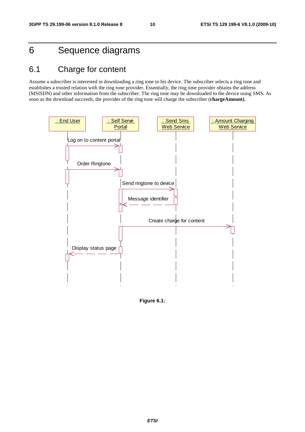## 6 Sequence diagrams

## 6.1 Charge for content

Assume a subscriber is interested in downloading a ring tone to his device. The subscriber selects a ring tone and establishes a trusted relation with the ring tone provider. Essentially, the ring tone provider obtains the address (MSISDN) and other information from the subscriber. The ring tone may be downloaded to the device using SMS. As soon as the download succeeds, the provider of the ring tone will charge the subscriber (**chargeAmount)**.



**Figure 6.1:**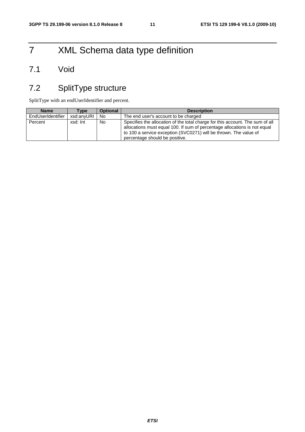## 7 XML Schema data type definition

## 7.1 Void

## 7.2 SplitType structure

SplitType with an endUserIdentifier and percent.

| <b>Name</b>       | Type       | <b>Optional</b> | <b>Description</b>                                                                                                                                                                                                                                                |
|-------------------|------------|-----------------|-------------------------------------------------------------------------------------------------------------------------------------------------------------------------------------------------------------------------------------------------------------------|
| EndUserIdentifier | xsd:anyURI | No.             | The end user's account to be charged                                                                                                                                                                                                                              |
| Percent           | xsd: Int   | No.             | Specifies the allocation of the total charge for this account. The sum of all<br>allocations must equal 100. If sum of percentage allocations is not equal<br>to 100 a service exception (SVC0271) will be thrown. The value of<br>percentage should be positive. |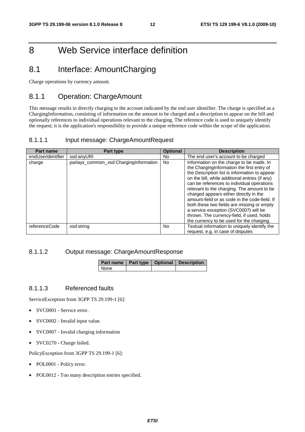## 8 Web Service interface definition

## 8.1 Interface: AmountCharging

Charge operations by currency amount.

### 8.1.1 Operation: ChargeAmount

This message results in directly charging to the account indicated by the end user identifier. The charge is specified as a ChargingInformation, consisting of information on the amount to be charged and a description to appear on the bill and optionally references to individual operations relevant to the charging. The reference code is used to uniquely identify the request; it is the application's responsibility to provide a unique reference code within the scope of the application.

#### 8.1.1.1 Input message: ChargeAmountRequest

| <b>Part name</b>  | Part type                              | <b>Optional</b> | <b>Description</b>                                                                                                                                                                                                                                                                                                                                                                                                                                                                                                                                                 |
|-------------------|----------------------------------------|-----------------|--------------------------------------------------------------------------------------------------------------------------------------------------------------------------------------------------------------------------------------------------------------------------------------------------------------------------------------------------------------------------------------------------------------------------------------------------------------------------------------------------------------------------------------------------------------------|
| endUserIdentifier | xsd:anyURI                             | No.             | The end user's account to be charged                                                                                                                                                                                                                                                                                                                                                                                                                                                                                                                               |
| charge            | parlayx_common_xsd:ChargingInformation | No.             | Information on the charge to be made. In<br>the ChargingInformation the first entry of<br>the Description list is information to appear<br>on the bill, while additional entries (if any)<br>can be references to individual operations<br>relevant to the charging. The amount to be<br>charged appears either directly in the<br>amount-field or as code in the code-field. If<br>both these two fields are missing or empty<br>a service exception (SVC0007) will be<br>thrown. The currency-field, if used, holds<br>the currency to be used for the charging. |
| referenceCode     | xsd:string                             | <b>No</b>       | Textual information to uniquely identify the<br>request, e.g. in case of disputes                                                                                                                                                                                                                                                                                                                                                                                                                                                                                  |

#### 8.1.1.2 Output message: ChargeAmountResponse

|      |  | Part name   Part type   Optional   Description |
|------|--|------------------------------------------------|
| None |  |                                                |

#### 8.1.1.3 Referenced faults

ServiceException from 3GPP TS 29.199-1 [6]:

- SVC0001 Service error.
- SVC0002 Invalid input value.
- SVC0007 Invalid charging information
- SVC0270 Charge failed.

- POL0001 Policy error.
- POL0012 Too many description entries specified.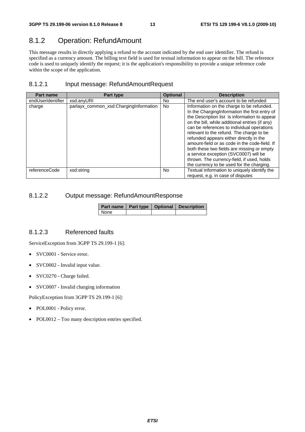### 8.1.2 Operation: RefundAmount

This message results in directly applying a refund to the account indicated by the end user identifier. The refund is specified as a currency amount. The billing text field is used for textual information to appear on the bill. The reference code is used to uniquely identify the request; it is the application's responsibility to provide a unique reference code within the scope of the application.

#### 8.1.2.1 Input message: RefundAmountRequest

| <b>Part name</b>  | Part type                              | <b>Optional</b> | <b>Description</b>                                                                                                                                                                                                                                                                                                                                                                                                                                                                                                                                                    |
|-------------------|----------------------------------------|-----------------|-----------------------------------------------------------------------------------------------------------------------------------------------------------------------------------------------------------------------------------------------------------------------------------------------------------------------------------------------------------------------------------------------------------------------------------------------------------------------------------------------------------------------------------------------------------------------|
| endUserIdentifier | xsd:anyURI                             | No.             | The end user's account to be refunded                                                                                                                                                                                                                                                                                                                                                                                                                                                                                                                                 |
| charge            | parlayx_common_xsd:ChargingInformation | <b>No</b>       | Information on the charge to be refunded.<br>In the ChargingInformation the first entry of<br>the Description list is information to appear<br>on the bill, while additional entries (if any)<br>can be references to individual operations<br>relevant to the refund. The charge to be<br>refunded appears either directly in the<br>amount-field or as code in the code-field. If<br>both these two fields are missing or empty<br>a service exception (SVC0007) will be<br>thrown. The currency-field, if used, holds<br>the currency to be used for the charging. |
| referenceCode     | xsd:string                             | No.             | Textual information to uniquely identify the<br>request, e.g. in case of disputes                                                                                                                                                                                                                                                                                                                                                                                                                                                                                     |

### 8.1.2.2 Output message: RefundAmountResponse

|      |  | Part name   Part type   Optional   Description |
|------|--|------------------------------------------------|
| None |  |                                                |

#### 8.1.2.3 Referenced faults

ServiceException from 3GPP TS 29.199-1 [6]:

- SVC0001 Service error.
- SVC0002 Invalid input value.
- SVC0270 Charge failed.
- SVC0007 Invalid charging information

- POL0001 Policy error.
- POL0012 Too many description entries specified.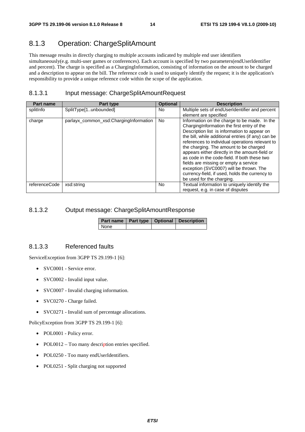## 8.1.3 Operation: ChargeSplitAmount

This message results in directly charging to multiple accounts indicated by multiple end user identifiers simultaneously(e.g. multi-user games or conferences). Each account is specified by two parameters(endUserIdentifier and percent). The charge is specified as a ChargingInformation, consisting of information on the amount to be charged and a description to appear on the bill. The reference code is used to uniquely identify the request; it is the application's responsibility to provide a unique reference code within the scope of the application.

### 8.1.3.1 Input message: ChargeSplitAmountRequest

| Part name     | Part type                              | <b>Optional</b> | <b>Description</b>                                                                                                                                                                                                                                                                                                                                                                                                                                                                                                                                                  |
|---------------|----------------------------------------|-----------------|---------------------------------------------------------------------------------------------------------------------------------------------------------------------------------------------------------------------------------------------------------------------------------------------------------------------------------------------------------------------------------------------------------------------------------------------------------------------------------------------------------------------------------------------------------------------|
| splitInfo     | SplitType[1unbounded]                  | No.             | Multiple sets of endUserIdentifier and percent                                                                                                                                                                                                                                                                                                                                                                                                                                                                                                                      |
|               |                                        |                 | element are specified                                                                                                                                                                                                                                                                                                                                                                                                                                                                                                                                               |
| charge        | parlayx_common_xsd:ChargingInformation | <b>No</b>       | Information on the charge to be made. In the<br>Charging Information the first entry of the<br>Description list is information to appear on<br>the bill, while additional entries (if any) can be<br>references to individual operations relevant to<br>the charging. The amount to be charged<br>appears either directly in the amount-field or<br>as code in the code-field. If both these two<br>fields are missing or empty a service<br>exception (SVC0007) will be thrown. The<br>currency-field, if used, holds the currency to<br>be used for the charging. |
| referenceCode | xsd:string                             | <b>No</b>       | Textual information to uniquely identify the<br>request, e.g. in case of disputes                                                                                                                                                                                                                                                                                                                                                                                                                                                                                   |

#### 8.1.3.2 Output message: ChargeSplitAmountResponse

|             |  | Part name   Part type   Optional   Description |
|-------------|--|------------------------------------------------|
| <b>None</b> |  |                                                |

#### 8.1.3.3 Referenced faults

ServiceException from 3GPP TS 29.199-1 [6]:

- SVC0001 Service error.
- SVC0002 Invalid input value.
- SVC0007 Invalid charging information.
- SVC0270 Charge failed.
- SVC0271 Invalid sum of percentage allocations.

- POL0001 Policy error.
- POL0012 Too many description entries specified.
- POL0250 Too many endUserIdentifiers.
- POL0251 Split charging not supported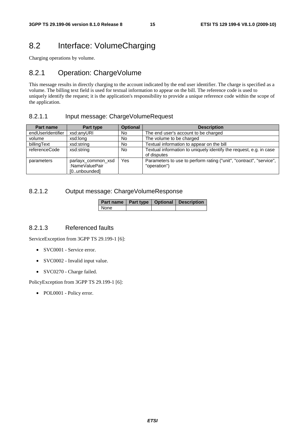## 8.2 Interface: VolumeCharging

Charging operations by volume.

### 8.2.1 Operation: ChargeVolume

This message results in directly charging to the account indicated by the end user identifier. The charge is specified as a volume. The billing text field is used for textual information to appear on the bill. The reference code is used to uniquely identify the request; it is the application's responsibility to provide a unique reference code within the scope of the application.

#### 8.2.1.1 Input message: ChargeVolumeRequest

| Part name         | Part type                            | <b>Optional</b> | <b>Description</b>                                                                  |
|-------------------|--------------------------------------|-----------------|-------------------------------------------------------------------------------------|
| endUserIdentifier | xsd:anyURI                           | No.             | The end user's account to be charged                                                |
| volume            | xsd:long                             | No              | The volume to be charged                                                            |
| billingText       | xsd:string                           | No              | Textual information to appear on the bill                                           |
| referenceCode     | xsd:string                           | No              | Textual information to uniquely identify the request, e.g. in case<br>of disputes   |
| parameters        | parlayx common xsd<br>:NameValuePair | Yes             | Parameters to use to perform rating ("unit", "contract", "service",<br>"operation") |
|                   | [0unbounded]                         |                 |                                                                                     |

#### 8.2.1.2 Output message: ChargeVolumeResponse

|      | Part name   Part type   Optional   Description |
|------|------------------------------------------------|
| None |                                                |

#### 8.2.1.3 Referenced faults

ServiceException from 3GPP TS 29.199-1 [6]:

- SVC0001 Service error.
- SVC0002 Invalid input value.
- SVC0270 Charge failed.

PolicyException from 3GPP TS 29.199-1 [6]: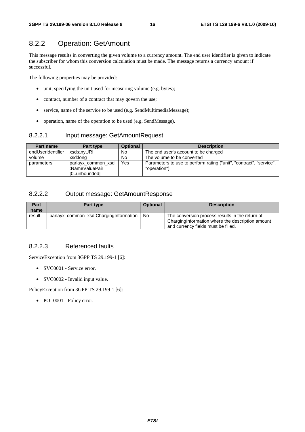## 8.2.2 Operation: GetAmount

This message results in converting the given volume to a currency amount. The end user identifier is given to indicate the subscriber for whom this conversion calculation must be made. The message returns a currency amount if successful.

The following properties may be provided:

- unit, specifying the unit used for measuring volume (e.g. bytes);
- contract, number of a contract that may govern the use;
- service, name of the service to be used (e.g. SendMultimediaMessage);
- operation, name of the operation to be used (e.g. SendMessage).

#### 8.2.2.1 Input message: GetAmountRequest

| <b>Part name</b>  | Part type                                            | <b>Optional</b> | <b>Description</b>                                                                  |
|-------------------|------------------------------------------------------|-----------------|-------------------------------------------------------------------------------------|
| endUserIdentifier | xsd:anvURI                                           | No              | The end user's account to be charged                                                |
| volume            | xsd:long                                             | <b>No</b>       | The volume to be converted                                                          |
| parameters        | parlayx common xsd<br>:NameValuePair<br>[0unbounded] | Yes             | Parameters to use to perform rating ("unit", "contract", "service",<br>"operation") |

### 8.2.2.2 Output message: GetAmountResponse

| Part   | Part type                              | <b>Optional</b> | <b>Description</b>                                                                                                                         |
|--------|----------------------------------------|-----------------|--------------------------------------------------------------------------------------------------------------------------------------------|
| name   |                                        |                 |                                                                                                                                            |
| result | parlayx_common_xsd:ChargingInformation | No.             | The conversion process results in the return of<br>ChargingInformation where the description amount<br>and currency fields must be filled. |

### 8.2.2.3 Referenced faults

ServiceException from 3GPP TS 29.199-1 [6]:

- SVC0001 Service error.
- SVC0002 Invalid input value.

PolicyException from 3GPP TS 29.199-1 [6]: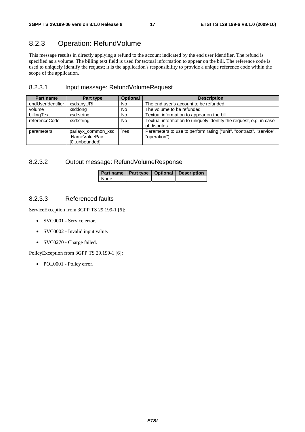## 8.2.3 Operation: RefundVolume

This message results in directly applying a refund to the account indicated by the end user identifier. The refund is specified as a volume. The billing text field is used for textual information to appear on the bill. The reference code is used to uniquely identify the request; it is the application's responsibility to provide a unique reference code within the scope of the application.

### 8.2.3.1 Input message: RefundVolumeRequest

| Part name         | Part type                                            | <b>Optional</b> | <b>Description</b>                                                                  |
|-------------------|------------------------------------------------------|-----------------|-------------------------------------------------------------------------------------|
| endUserIdentifier | xsd:anyURI                                           | No              | The end user's account to be refunded                                               |
| volume            | xsd:long                                             | <b>No</b>       | The volume to be refunded                                                           |
| billingText       | xsd:string                                           | No              | Textual information to appear on the bill                                           |
| referenceCode     | xsd:string                                           | <b>No</b>       | Textual information to uniquely identify the request, e.g. in case<br>of disputes   |
| parameters        | parlayx common xsd<br>:NameValuePair<br>[0unbounded] | Yes             | Parameters to use to perform rating ("unit", "contract", "service",<br>"operation") |

#### 8.2.3.2 Output message: RefundVolumeResponse

|             |  | Part name   Part type   Optional   Description |
|-------------|--|------------------------------------------------|
| <b>None</b> |  |                                                |

#### 8.2.3.3 Referenced faults

ServiceException from 3GPP TS 29.199-1 [6]:

- SVC0001 Service error.
- SVC0002 Invalid input value.
- SVC0270 Charge failed.

PolicyException from 3GPP TS 29.199-1 [6]: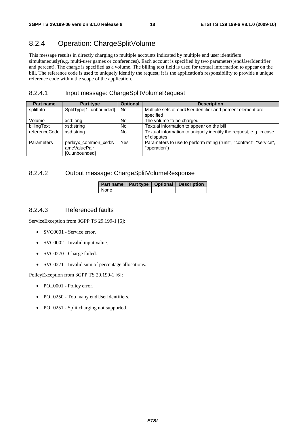## 8.2.4 Operation: ChargeSplitVolume

This message results in directly charging to multiple accounts indicated by multiple end user identifiers simultaneously(e.g. multi-user games or conferences). Each account is specified by two parameters(endUserIdentifier and percent). The charge is specified as a volume. The billing text field is used for textual information to appear on the bill. The reference code is used to uniquely identify the request; it is the application's responsibility to provide a unique reference code within the scope of the application.

### 8.2.4.1 Input message: ChargeSplitVolumeRequest

| Part name     | Part type             | <b>Optional</b> | <b>Description</b>                                                  |
|---------------|-----------------------|-----------------|---------------------------------------------------------------------|
| splitInfo     | SplitType[1unbounded] | No.             | Multiple sets of endUserIdentifier and percent element are          |
|               |                       |                 | specified                                                           |
| Volume        | xsd:long              | No.             | The volume to be charged                                            |
| billingText   | xsd:string            | No              | Textual information to appear on the bill                           |
| referenceCode | xsd:string            | No              | Textual information to uniquely identify the request, e.g. in case  |
|               |                       |                 | of disputes                                                         |
| Parameters    | parlayx common xsd:N  | Yes             | Parameters to use to perform rating ("unit", "contract", "service", |
|               | ameValuePair          |                 | "operation")                                                        |
|               | [0unbounded]          |                 |                                                                     |

### 8.2.4.2 Output message: ChargeSplitVolumeResponse

|      |  | Part name   Part type   Optional   Description |
|------|--|------------------------------------------------|
| None |  |                                                |

#### 8.2.4.3 Referenced faults

ServiceException from 3GPP TS 29.199-1 [6]:

- SVC0001 Service error.
- SVC0002 Invalid input value.
- SVC0270 Charge failed.
- SVC0271 Invalid sum of percentage allocations.

- POL0001 Policy error.
- POL0250 Too many endUserIdentifiers.
- POL0251 Split charging not supported.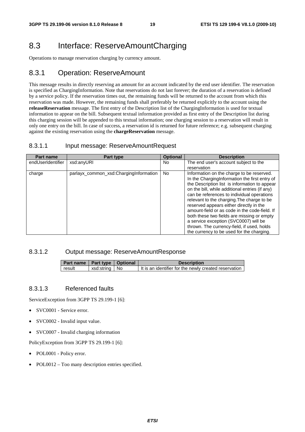## 8.3 Interface: ReserveAmountCharging

Operations to manage reservation charging by currency amount.

### 8.3.1 Operation: ReserveAmount

This message results in directly reserving an amount for an account indicated by the end user identifier. The reservation is specified as ChargingInformation. Note that reservations do not last forever; the duration of a reservation is defined by a service policy. If the reservation times out, the remaining funds will be returned to the account from which this reservation was made. However, the remaining funds shall preferably be returned explicitly to the account using the **releaseReservation** message. The first entry of the Description list of the ChargingInformation is used for textual information to appear on the bill. Subsequent textual information provided as first entry of the Description list during this charging session will be appended to this textual information; one charging session to a reservation will result in only one entry on the bill. In case of success, a reservation id is returned for future reference; e.g. subsequent charging against the existing reservation using the **chargeReservation** message.

#### 8.3.1.1 Input message: ReserveAmountRequest

| <b>Part name</b>  | Part type                              | <b>Optional</b> | <b>Description</b>                                                                                                                                                                                                                                                                                                                                                                                                                                                                                                                                                      |
|-------------------|----------------------------------------|-----------------|-------------------------------------------------------------------------------------------------------------------------------------------------------------------------------------------------------------------------------------------------------------------------------------------------------------------------------------------------------------------------------------------------------------------------------------------------------------------------------------------------------------------------------------------------------------------------|
| endUserIdentifier | xsd:anyURI                             | No.             | The end user's account subject to the                                                                                                                                                                                                                                                                                                                                                                                                                                                                                                                                   |
|                   |                                        |                 | reservation                                                                                                                                                                                                                                                                                                                                                                                                                                                                                                                                                             |
| charge            | parlayx_common_xsd:ChargingInformation | <b>No</b>       | Information on the charge to be reserved.<br>In the ChargingInformation the first entry of<br>the Description list is information to appear<br>on the bill, while additional entries (if any)<br>can be references to individual operations<br>relevant to the charging. The charge to be<br>reserved appears either directly in the<br>amount-field or as code in the code-field. If<br>both these two fields are missing or empty<br>a service exception (SVC0007) will be<br>thrown. The currency-field, if used, holds<br>the currency to be used for the charging. |

#### 8.3.1.2 Output message: ReserveAmountResponse

| Part name   Part type   Optional |                 | <b>Description</b>                                      |
|----------------------------------|-----------------|---------------------------------------------------------|
| result                           | xsd:string   No | I It is an identifier for the newly created reservation |

#### 8.3.1.3 Referenced faults

ServiceException from 3GPP TS 29.199-1 [6]:

- SVC0001 Service error.
- SVC0002 Invalid input value.
- SVC0007 Invalid charging information

- POL0001 Policy error.
- POL0012 Too many description entries specified.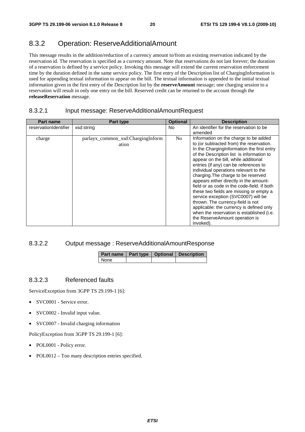## 8.3.2 Operation: ReserveAdditionalAmount

This message results in the addition/reduction of a currency amount to/from an existing reservation indicated by the reservation id. The reservation is specified as a currency amount. Note that reservations do not last forever; the duration of a reservation is defined by a service policy. Invoking this message will extend the current reservation enforcement time by the duration defined in the same service policy. The first entry of the Description list of ChargingInformation is used for appending textual information to appear on the bill. The textual information is appended to the initial textual information given in the first entry of the Description list by the **reserveAmount** message; one charging session to a reservation will result in only one entry on the bill. Reserved credit can be returned to the account through the **releaseReservation** message.

#### 8.3.2.1 Input message: ReserveAdditionalAmountRequest

| Part name             | Part type                                  | <b>Optional</b> | <b>Description</b>                                                                                                                                                                                                                                                                                                                                                                                                                     |
|-----------------------|--------------------------------------------|-----------------|----------------------------------------------------------------------------------------------------------------------------------------------------------------------------------------------------------------------------------------------------------------------------------------------------------------------------------------------------------------------------------------------------------------------------------------|
| reservationIdentifier | xsd:string                                 | No.             | An identifier for the reservation to be                                                                                                                                                                                                                                                                                                                                                                                                |
|                       |                                            |                 | amended                                                                                                                                                                                                                                                                                                                                                                                                                                |
| charge                | parlayx_common_xsd:ChargingInform<br>ation | No              | Information on the charge to be added<br>to (or subtracted from) the reservation.<br>In the ChargingInformation the first entry<br>of the Description list is information to<br>appear on the bill, while additional<br>entries (if any) can be references to<br>individual operations relevant to the<br>charging. The charge to be reserved<br>appears either directly in the amount-<br>field or as code in the code-field. If both |
|                       |                                            |                 | these two fields are missing or empty a<br>service exception (SVC0007) will be<br>thrown. The currency-field is not<br>applicable: the currency is defined only<br>when the reservation is established (i.e.<br>the ReserveAmount operation is<br>invoked).                                                                                                                                                                            |

#### 8.3.2.2 Output message : ReserveAdditionalAmountResponse

|      |  | Part name   Part type   Optional   Description |
|------|--|------------------------------------------------|
| None |  |                                                |

#### 8.3.2.3 Referenced faults

ServiceException from 3GPP TS 29.199-1 [6]:

- SVC0001 Service error.
- SVC0002 Invalid input value.
- SVC0007 Invalid charging information

- POL0001 Policy error.
- POL0012 Too many description entries specified.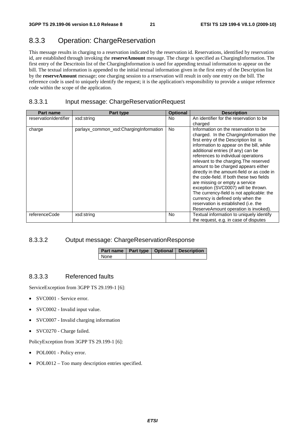## 8.3.3 Operation: ChargeReservation

This message results in charging to a reservation indicated by the reservation id. Reservations, identified by reservation id, are established through invoking the **reserveAmount** message. The charge is specified as ChargingInformation. The first entry of the Descritoin list of the ChargingInformation is used for appending textual information to appear on the bill. The textual information is appended to the initial textual information given in the first entry of the Description list by the **reserveAmount** message; one charging session to a reservation will result in only one entry on the bill. The reference code is used to uniquely identify the request; it is the application's responsibility to provide a unique reference code within the scope of the application.

### 8.3.3.1 Input message: ChargeReservationRequest

| <b>Part name</b>      | Part type                              | <b>Optional</b> | <b>Description</b>                                                                                                                                                                                                                                                                                                                                                                                                                                                                                                                                                                                                                                                       |
|-----------------------|----------------------------------------|-----------------|--------------------------------------------------------------------------------------------------------------------------------------------------------------------------------------------------------------------------------------------------------------------------------------------------------------------------------------------------------------------------------------------------------------------------------------------------------------------------------------------------------------------------------------------------------------------------------------------------------------------------------------------------------------------------|
| reservationIdentifier | xsd:string                             | <b>No</b>       | An identifier for the reservation to be<br>charged                                                                                                                                                                                                                                                                                                                                                                                                                                                                                                                                                                                                                       |
| charge                | parlayx_common_xsd:ChargingInformation | <b>No</b>       | Information on the reservation to be<br>charged. In the ChargingInformation the<br>first entry of the Description list is<br>information to appear on the bill, while<br>additional entries (if any) can be<br>references to individual operations<br>relevant to the charging. The reserved<br>amount to be charged appears either<br>directly in the amount-field or as code in<br>the code-field. If both these two fields<br>are missing or empty a service<br>exception (SVC0007) will be thrown.<br>The currency-field is not applicable: the<br>currency is defined only when the<br>reservation is established (i.e. the<br>ReserveAmount operation is invoked). |
| referenceCode         | xsd:string                             | <b>No</b>       | Textual information to uniquely identify<br>the request, e.g. in case of disputes                                                                                                                                                                                                                                                                                                                                                                                                                                                                                                                                                                                        |

#### 8.3.3.2 Output message: ChargeReservationResponse

|      |  | Part name   Part type   Optional   Description |
|------|--|------------------------------------------------|
| None |  |                                                |

#### 8.3.3.3 Referenced faults

ServiceException from 3GPP TS 29.199-1 [6]:

- SVC0001 Service error.
- SVC0002 Invalid input value.
- SVC0007 Invalid charging information
- SVC0270 Charge failed.

- POL0001 Policy error.
- POL0012 Too many description entries specified.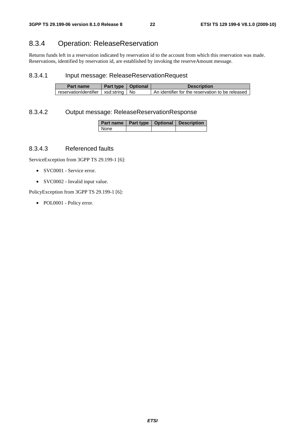## 8.3.4 Operation: ReleaseReservation

Returns funds left in a reservation indicated by reservation id to the account from which this reservation was made. Reservations, identified by reservation id, are established by invoking the reserveAmount message.

#### 8.3.4.1 Input message: ReleaseReservationRequest

| Part name                               | Part type   Optional | <b>Description</b>                               |
|-----------------------------------------|----------------------|--------------------------------------------------|
| reservationIdentifier   xsd:string   No |                      | An identifier for the reservation to be released |

#### 8.3.4.2 Output message: ReleaseReservationResponse

|      |  | Part name   Part type   Optional   Description |
|------|--|------------------------------------------------|
| None |  |                                                |

#### 8.3.4.3 Referenced faults

ServiceException from 3GPP TS 29.199-1 [6]:

- SVC0001 Service error.
- SVC0002 Invalid input value.

PolicyException from 3GPP TS 29.199-1 [6]: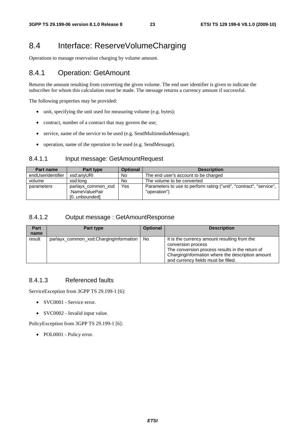## 8.4 Interface: ReserveVolumeCharging

Operations to manage reservation charging by volume amount.

### 8.4.1 Operation: GetAmount

Returns the amount resulting from converting the given volume. The end user identifier is given to indicate the subscriber for whom this calculation must be made. The message returns a currency amount if successful.

The following properties may be provided:

- unit, specifying the unit used for measuring volume (e.g. bytes);
- contract, number of a contract that may govern the use;
- service, name of the service to be used (e.g. SendMultimediaMessage);
- operation, name of the operation to be used (e.g. SendMessage).

#### 8.4.1.1 Input message: GetAmountRequest

| <b>Part name</b>  | Part type                                            | <b>Optional</b> | <b>Description</b>                                                                  |
|-------------------|------------------------------------------------------|-----------------|-------------------------------------------------------------------------------------|
| endUserIdentifier | xsd:anvURI                                           | No              | The end user's account to be charged                                                |
| volume            | xsd:lona                                             | <b>No</b>       | The volume to be converted                                                          |
| parameters        | parlayx common xsd<br>:NameValuePair<br>[0unbounded] | Yes             | Parameters to use to perform rating ("unit", "contract", "service",<br>"operation") |

### 8.4.1.2 Output message : GetAmountResponse

| Part<br>name | Part type                                   | <b>Optional</b> | <b>Description</b>                                                                                                                                                                                                |
|--------------|---------------------------------------------|-----------------|-------------------------------------------------------------------------------------------------------------------------------------------------------------------------------------------------------------------|
| result       | parlayx_common_xsd:ChargingInformation   No |                 | It is the currency amount resulting from the<br>conversion process<br>The conversion process results in the return of<br>Charging Information where the description amount<br>and currency fields must be filled. |

### 8.4.1.3 Referenced faults

ServiceException from 3GPP TS 29.199-1 [6]:

- SVC0001 Service error.
- SVC0002 Invalid input value.

PolicyException from 3GPP TS 29.199-1 [6]: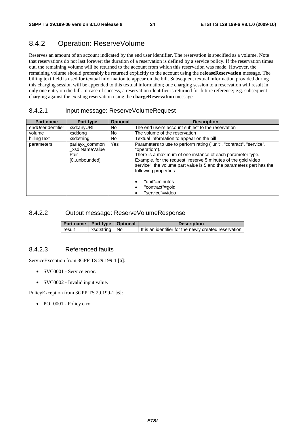## 8.4.2 Operation: ReserveVolume

Reserves an amount of an account indicated by the end user identifier. The reservation is specified as a volume. Note that reservations do not last forever; the duration of a reservation is defined by a service policy. If the reservation times out, the remaining volume will be returned to the account from which this reservation was made. However, the remaining volume should preferably be returned explicitly to the account using the **releaseReservation** message. The billing text field is used for textual information to appear on the bill. Subsequent textual information provided during this charging session will be appended to this textual information; one charging session to a reservation will result in only one entry on the bill. In case of success, a reservation identifier is returned for future reference; e.g. subsequent charging against the existing reservation using the **chargeReservation** message.

#### 8.4.2.1 Input message: ReserveVolumeRequest

| Part name         | Part type                                               | <b>Optional</b> | <b>Description</b>                                                                                                                                                                                                                                                                                                                                                                             |
|-------------------|---------------------------------------------------------|-----------------|------------------------------------------------------------------------------------------------------------------------------------------------------------------------------------------------------------------------------------------------------------------------------------------------------------------------------------------------------------------------------------------------|
| endUserIdentifier | xsd:anyURI                                              | No.             | The end user's account subject to the reservation                                                                                                                                                                                                                                                                                                                                              |
| volume            | xsd:long                                                | No.             | The volume of the reservation                                                                                                                                                                                                                                                                                                                                                                  |
| billingText       | xsd:string                                              | No.             | Textual information to appear on the bill                                                                                                                                                                                                                                                                                                                                                      |
| parameters        | parlayx common<br>xsd:NameValue<br>Pair<br>[0unbounded] | Yes             | Parameters to use to perform rating ("unit", "contract", "service",<br>"operation").<br>There is a maximum of one instance of each parameter type.<br>Example, for the request "reserve 5 minutes of the gold video<br>service", the volume part value is 5 and the parameters part has the<br>following properties:<br>"unit"=minutes<br>$\bullet$<br>"contract"=gold<br>٠<br>"service"=video |

#### 8.4.2.2 Output message: ReserveVolumeResponse

| Part name   Part type   Optional |                 | <b>Description</b>                                      |
|----------------------------------|-----------------|---------------------------------------------------------|
| result                           | xsd:string   No | I It is an identifier for the newly created reservation |

#### 8.4.2.3 Referenced faults

ServiceException from 3GPP TS 29.199-1 [6]:

- SVC0001 Service error.
- SVC0002 Invalid input value.

PolicyException from 3GPP TS 29.199-1 [6]: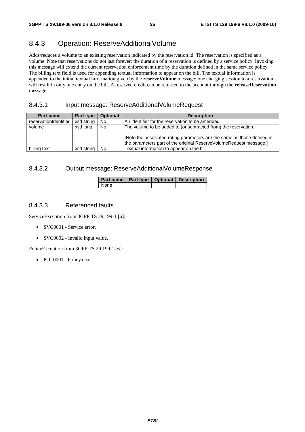## 8.4.3 Operation: ReserveAdditionalVolume

Adds/reduces a volume to an existing reservation indicated by the reservation id. The reservation is specified as a volume. Note that reservations do not last forever; the duration of a reservation is defined by a service policy. Invoking this message will extend the current reservation enforcement time by the duration defined in the same service policy. The billing text field is used for appending textual information to appear on the bill. The textual information is appended to the initial textual information given by the **reserveVolume** message; one charging session to a reservation will result in only one entry on the bill. A reserved credit can be returned to the account through the **releaseReservation** message.

#### 8.4.3.1 Input message: ReserveAdditionalVolumeRequest

| Part name             | Part type  | <b>Optional</b> | <b>Description</b>                                                                                                                                                                                               |
|-----------------------|------------|-----------------|------------------------------------------------------------------------------------------------------------------------------------------------------------------------------------------------------------------|
| reservationIdentifier | xsd:string | No              | An identifier for the reservation to be amended                                                                                                                                                                  |
| volume                | xsd:long   | No              | The volume to be added to (or subtracted from) the reservation.<br>[Note the associated rating parameters are the same as those defined in<br>the parameters part of the original ReserveVolumeRequest message.] |
| billingText           | xsd:string | <b>No</b>       | Textual information to appear on the bill                                                                                                                                                                        |

#### 8.4.3.2 Output message: ReserveAdditionalVolumeResponse

|      |  | Part name   Part type   Optional   Description |
|------|--|------------------------------------------------|
| None |  |                                                |

#### 8.4.3.3 Referenced faults

ServiceException from 3GPP TS 29.199-1 [6]:

- SVC0001 Service error.
- SVC0002 Invalid input value.

PolicyException from 3GPP TS 29.199-1 [6]: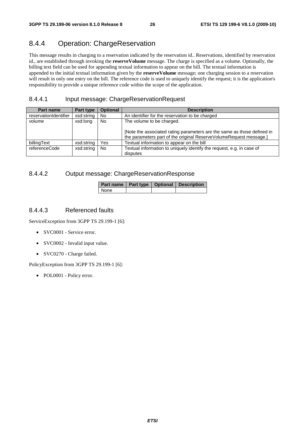### 8.4.4 Operation: ChargeReservation

This message results in charging to a reservation indicated by the reservation id.. Reservations, identified by reservation id., are established through invoking the **reserveVolume** message. The charge is specified as a volume. Optionally, the billing text field can be used for appending textual information to appear on the bill. The textual information is appended to the initial textual information given by the **reserveVolume** message; one charging session to a reservation will result in only one entry on the bill. The reference code is used to uniquely identify the request; it is the application's responsibility to provide a unique reference code within the scope of the application.

#### 8.4.4.1 Input message: ChargeReservationRequest

| Part name             | Part type  | <b>Optional</b> | <b>Description</b>                                                                                                                            |
|-----------------------|------------|-----------------|-----------------------------------------------------------------------------------------------------------------------------------------------|
| reservationIdentifier | xsd:string | No              | An identifier for the reservation to be charged                                                                                               |
| volume                | xsd:long   | No              | The volume to be charged.                                                                                                                     |
|                       |            |                 | [Note the associated rating parameters are the same as those defined in<br>the parameters part of the original ReserveVolumeRequest message.] |
| billingText           | xsd:string | Yes             | Textual information to appear on the bill                                                                                                     |
| referenceCode         | xsd:string | No.             | Textual information to uniquely identify the request, e.g. in case of<br>disputes                                                             |

### 8.4.4.2 Output message: ChargeReservationResponse

|        |  | Part name   Part type   Optional   Description |
|--------|--|------------------------------------------------|
| l None |  |                                                |

#### 8.4.4.3 Referenced faults

ServiceException from 3GPP TS 29.199-1 [6]:

- SVC0001 Service error.
- SVC0002 Invalid input value.
- SVC0270 Charge failed.

PolicyException from 3GPP TS 29.199-1 [6]: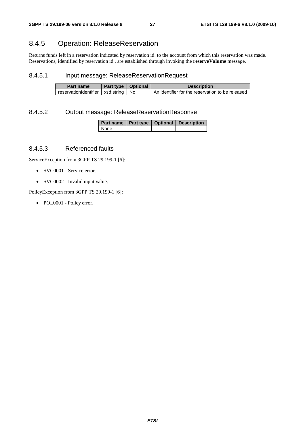## 8.4.5 Operation: ReleaseReservation

Returns funds left in a reservation indicated by reservation id. to the account from which this reservation was made. Reservations, identified by reservation id., are established through invoking the **reserveVolume** message.

#### 8.4.5.1 Input message: ReleaseReservationRequest

| Part name                               | Part type   Optional | <b>Description</b>                               |
|-----------------------------------------|----------------------|--------------------------------------------------|
| reservationIdentifier   xsd:string   No |                      | An identifier for the reservation to be released |

#### 8.4.5.2 Output message: ReleaseReservationResponse

|      |  | Part name   Part type   Optional   Description |  |  |
|------|--|------------------------------------------------|--|--|
| None |  |                                                |  |  |

#### 8.4.5.3 Referenced faults

ServiceException from 3GPP TS 29.199-1 [6]:

- SVC0001 Service error.
- SVC0002 Invalid input value.

PolicyException from 3GPP TS 29.199-1 [6]: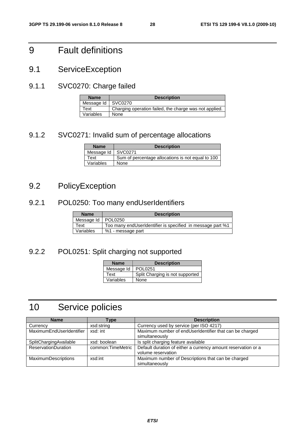## 9 Fault definitions

9.1 ServiceException

## 9.1.1 SVC0270: Charge failed

| <b>Name</b>          | <b>Description</b>                                     |
|----------------------|--------------------------------------------------------|
| Message Id   SVC0270 |                                                        |
| Text                 | Charging operation failed, the charge was not applied. |
| Variables            | None                                                   |

## 9.1.2 SVC0271: Invalid sum of percentage allocations

| <b>Name</b> | <b>Description</b>                                |
|-------------|---------------------------------------------------|
| Message Id  | SVC0271                                           |
| Text        | Sum of percentage allocations is not equal to 100 |
| Variables   | None                                              |

## 9.2 PolicyException

## 9.2.1 POL0250: Too many endUserIdentifiers

| <b>Name</b>          | <b>Description</b>                                         |
|----------------------|------------------------------------------------------------|
| Message Id   POL0250 |                                                            |
| Text                 | Too many endUserIdentifier is specified in message part %1 |
| Variables            | %1 - message part                                          |

## 9.2.2 POL0251: Split charging not supported

| <b>Name</b> | <b>Description</b>              |
|-------------|---------------------------------|
| Message Id  | POL0251                         |
| Text        | Split Charging is not supported |
| Variables   | None                            |

## 10 Service policies

| <b>Name</b>                | Type              | <b>Description</b>                                            |
|----------------------------|-------------------|---------------------------------------------------------------|
| Currency                   | xsd:string        | Currency used by service (per ISO 4217)                       |
| MaximumEndUserIdentifier   | xsd: int          | Maximum number of endUserIdentifier that can be charged       |
|                            |                   | simultaneously                                                |
| SplitChargingAvailable     | xsd: boolean      | Is split charging feature available                           |
| <b>ReservationDuration</b> | common:TimeMetric | Default duration of either a currency amount reservation or a |
|                            |                   | volume reservation                                            |
| <b>MaximumDescriptions</b> | xsd:int           | Maximum number of Descriptions that can be charged            |
|                            |                   | simultaneously                                                |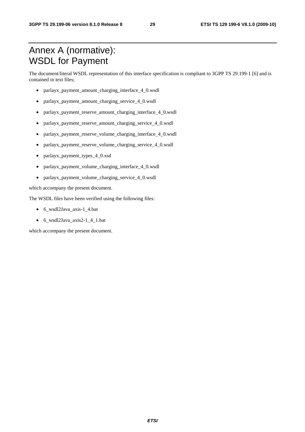## Annex A (normative): WSDL for Payment

The document/literal WSDL representation of this interface specification is compliant to 3GPP TS 29.199-1 [6] and is contained in text files;

- parlayx payment amount charging interface 4 0.wsdl
- parlayx\_payment\_amount\_charging\_service\_4\_0.wsdl
- parlayx\_payment\_reserve\_amount\_charging\_interface\_4\_0.wsdl
- parlayx\_payment\_reserve\_amount\_charging\_service\_4\_0.wsdl
- parlayx\_payment\_reserve\_volume\_charging\_interface\_4\_0.wsdl
- parlayx\_payment\_reserve\_volume\_charging\_service\_4\_0.wsdl
- parlayx\_payment\_types\_4\_0.xsd
- parlayx payment volume charging interface 4 0.wsdl
- parlayx\_payment\_volume\_charging\_service\_4\_0.wsdl

which accompany the present document.

The WSDL files have been verified using the following files:

- 6\_wsdl2Java\_axis-1\_4.bat
- 6\_wsdl2Java\_axis2-1\_4\_1.bat

which accompany the present document.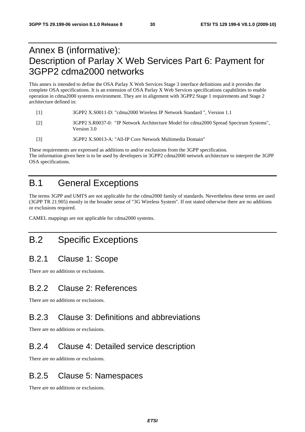## Annex B (informative): Description of Parlay X Web Services Part 6: Payment for 3GPP2 cdma2000 networks

This annex is intended to define the OSA Parlay X Web Services Stage 3 interface definitions and it provides the complete OSA specifications. It is an extension of OSA Parlay X Web Services specifications capabilities to enable operation in cdma2000 systems environment. They are in alignment with 3GPP2 Stage 1 requirements and Stage 2 architecture defined in:

- [1] 3GPP2 X.S0011-D: "cdma2000 Wireless IP Network Standard ", Version 1.1
- [2] 3GPP2 S.R0037-0: "IP Network Architecture Model for cdma2000 Spread Spectrum Systems", Version 3.0
- [3] 3GPP2 X.S0013-A: "All-IP Core Network Multimedia Domain"

These requirements are expressed as additions to and/or exclusions from the 3GPP specification. The information given here is to be used by developers in 3GPP2 cdma2000 network architecture to interpret the 3GPP OSA specifications.

## B.1 General Exceptions

The terms 3GPP and UMTS are not applicable for the cdma2000 family of standards. Nevertheless these terms are used (3GPP TR 21.905) mostly in the broader sense of "3G Wireless System". If not stated otherwise there are no additions or exclusions required.

CAMEL mappings are not applicable for cdma2000 systems.

## B.2 Specific Exceptions

## B.2.1 Clause 1: Scope

There are no additions or exclusions.

## B.2.2 Clause 2: References

There are no additions or exclusions.

## B.2.3 Clause 3: Definitions and abbreviations

There are no additions or exclusions.

## B.2.4 Clause 4: Detailed service description

There are no additions or exclusions.

## B.2.5 Clause 5: Namespaces

There are no additions or exclusions.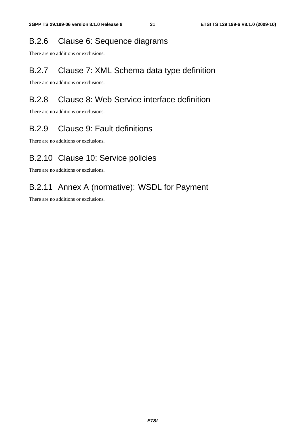## B.2.6 Clause 6: Sequence diagrams

There are no additions or exclusions.

## B.2.7 Clause 7: XML Schema data type definition

There are no additions or exclusions.

## B.2.8 Clause 8: Web Service interface definition

There are no additions or exclusions.

## B.2.9 Clause 9: Fault definitions

There are no additions or exclusions.

## B.2.10 Clause 10: Service policies

There are no additions or exclusions.

## B.2.11 Annex A (normative): WSDL for Payment

There are no additions or exclusions.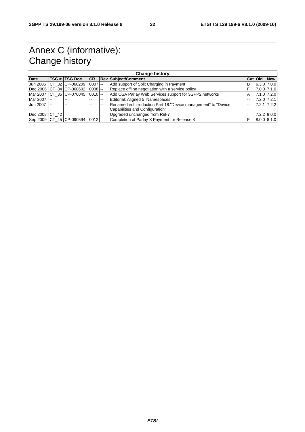## Annex C (informative): Change history

| <b>Change history</b> |        |                          |           |               |                                                                 |    |                 |                 |
|-----------------------|--------|--------------------------|-----------|---------------|-----------------------------------------------------------------|----|-----------------|-----------------|
| <b>Date</b>           |        | TSG # TSG Doc.           |           |               | <b>CR Rev Subject/Comment</b>                                   |    | Cat Old         | <b>New</b>      |
| <b>Jun 2006</b>       |        | ICT 32 ICP-060209        | $0007$ -- |               | Add support of Split Charging in Payment                        | в  | $6.3.0$ 7.0.0   |                 |
|                       |        | Dec 2006 CT 34 CP-060602 | $0008$ -- |               | Replace offline negotiation with a service policy               | F  | 7.0.0 7.1.0     |                 |
|                       |        | Mar 2007 CT 35 CP-070045 | $0010$ -- |               | Add OSA Parlay Web Services support for 3GPP2 networks          | Α  | 7.1.0 7.2.0     |                 |
| Mar 2007 --           |        | $- -$                    | --        | $\sim$ $\sim$ | Editorial: Aligned 5 Namespaces                                 | -- | $7.2.0$ $7.2.1$ |                 |
| Jun 2007              | $\sim$ | --                       |           | $\sim$        | Renamed in Introduction Part 18: "Device management" to "Device | -- |                 | $7.2.1$ $7.2.2$ |
|                       |        |                          |           |               | Capabilities and Configuration"                                 |    |                 |                 |
| Dec 2008 CT 42        |        |                          |           |               | Upgraded unchanged from Rel-7                                   |    |                 | $7.2.2$ 8.0.0   |
|                       |        | Sep 2009 CT_45 CP-090594 | 0012      |               | Completion of Parlay X Payment for Release 8                    | F  | 8.0.0 8.1.0     |                 |